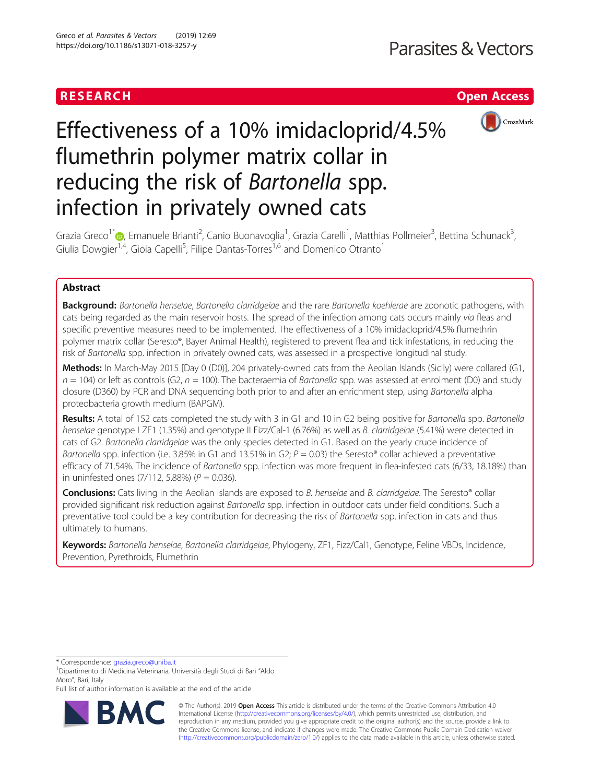# RESEARCH **RESEARCH CHANNEL EXECUTE ACCESS**



# Effectiveness of a 10% imidacloprid/4.5% flumethrin polymer matrix collar in reducing the risk of Bartonella spp. infection in privately owned cats

Grazia Greco<sup>1[\\*](http://orcid.org/0000-0002-4338-6746)</sup>�, Emanuele Brianti<sup>2</sup>, Canio Buonavoglia<sup>1</sup>, Grazia Carelli<sup>1</sup>, Matthias Pollmeier<sup>3</sup>, Bettina Schunack<sup>3</sup> , Giulia Dowgier<sup>1,4</sup>, Gioia Capelli<sup>5</sup>, Filipe Dantas-Torres<sup>1,6</sup> and Domenico Otranto<sup>1</sup>

# Abstract

Background: Bartonella henselae, Bartonella clarridgeiae and the rare Bartonella koehlerae are zoonotic pathogens, with cats being regarded as the main reservoir hosts. The spread of the infection among cats occurs mainly via fleas and specific preventive measures need to be implemented. The effectiveness of a 10% imidacloprid/4.5% flumethrin polymer matrix collar (Seresto®, Bayer Animal Health), registered to prevent flea and tick infestations, in reducing the risk of Bartonella spp. infection in privately owned cats, was assessed in a prospective longitudinal study.

Methods: In March-May 2015 [Day 0 (D0)], 204 privately-owned cats from the Aeolian Islands (Sicily) were collared (G1,  $n = 104$ ) or left as controls (G2,  $n = 100$ ). The bacteraemia of *Bartonella* spp. was assessed at enrolment (D0) and study closure (D360) by PCR and DNA sequencing both prior to and after an enrichment step, using Bartonella alpha proteobacteria growth medium (BAPGM).

Results: A total of 152 cats completed the study with 3 in G1 and 10 in G2 being positive for Bartonella spp. Bartonella henselae genotype I ZF1 (1.35%) and genotype II Fizz/Cal-1 (6.76%) as well as B. clarridgeiae (5.41%) were detected in cats of G2. Bartonella clarridgeiae was the only species detected in G1. Based on the yearly crude incidence of Bartonella spp. infection (i.e. 3.85% in G1 and 13.51% in G2;  $P = 0.03$ ) the Seresto® collar achieved a preventative efficacy of 71.54%. The incidence of Bartonella spp. infection was more frequent in flea-infested cats (6/33, 18.18%) than in uninfested ones  $(7/112, 5.88%)$   $(P = 0.036)$ .

Conclusions: Cats living in the Aeolian Islands are exposed to B. henselae and B. clarridgeiae. The Seresto® collar provided significant risk reduction against Bartonella spp. infection in outdoor cats under field conditions. Such a preventative tool could be a key contribution for decreasing the risk of Bartonella spp. infection in cats and thus ultimately to humans.

Keywords: Bartonella henselae, Bartonella clarridgeiae, Phylogeny, ZF1, Fizz/Cal1, Genotype, Feline VBDs, Incidence, Prevention, Pyrethroids, Flumethrin

\* Correspondence: [grazia.greco@uniba.it](mailto:grazia.greco@uniba.it) <sup>1</sup>

Dipartimento di Medicina Veterinaria, Università degli Studi di Bari "Aldo Moro", Bari, Italy

Full list of author information is available at the end of the article



© The Author(s). 2019 **Open Access** This article is distributed under the terms of the Creative Commons Attribution 4.0 International License [\(http://creativecommons.org/licenses/by/4.0/](http://creativecommons.org/licenses/by/4.0/)), which permits unrestricted use, distribution, and reproduction in any medium, provided you give appropriate credit to the original author(s) and the source, provide a link to the Creative Commons license, and indicate if changes were made. The Creative Commons Public Domain Dedication waiver [\(http://creativecommons.org/publicdomain/zero/1.0/](http://creativecommons.org/publicdomain/zero/1.0/)) applies to the data made available in this article, unless otherwise stated.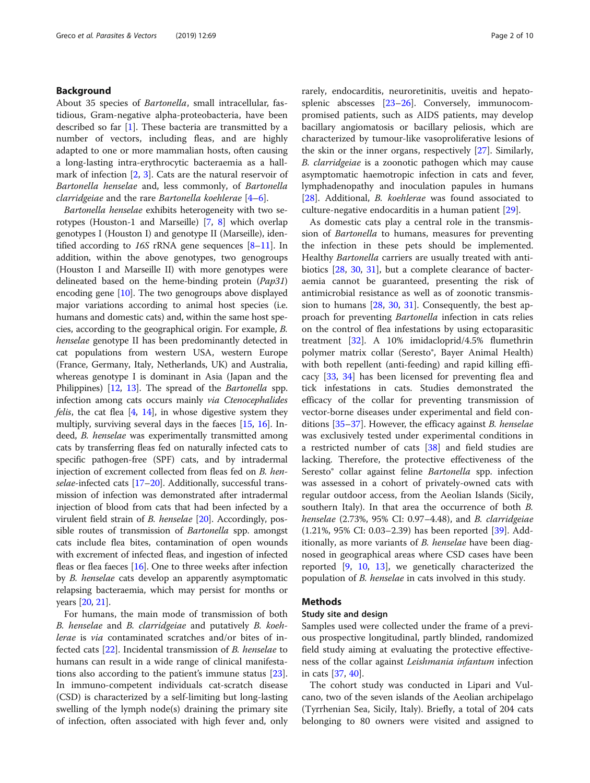# Background

About 35 species of Bartonella, small intracellular, fastidious, Gram-negative alpha-proteobacteria, have been described so far  $[1]$  $[1]$ . These bacteria are transmitted by a number of vectors, including fleas, and are highly adapted to one or more mammalian hosts, often causing a long-lasting intra-erythrocytic bacteraemia as a hallmark of infection [[2](#page-7-0), [3\]](#page-7-0). Cats are the natural reservoir of Bartonella henselae and, less commonly, of Bartonella *clarridgeiae* and the rare *Bartonella* koehlerae  $[4-6]$  $[4-6]$  $[4-6]$ .

Bartonella henselae exhibits heterogeneity with two serotypes (Houston-1 and Marseille) [\[7](#page-8-0), [8\]](#page-8-0) which overlap genotypes I (Houston I) and genotype II (Marseille), identified according to 16S rRNA gene sequences [\[8](#page-8-0)–[11\]](#page-8-0). In addition, within the above genotypes, two genogroups (Houston I and Marseille II) with more genotypes were delineated based on the heme-binding protein (Pap31) encoding gene [[10](#page-8-0)]. The two genogroups above displayed major variations according to animal host species (i.e. humans and domestic cats) and, within the same host species, according to the geographical origin. For example, B. henselae genotype II has been predominantly detected in cat populations from western USA, western Europe (France, Germany, Italy, Netherlands, UK) and Australia, whereas genotype I is dominant in Asia (Japan and the Philippines) [[12](#page-8-0), [13](#page-8-0)]. The spread of the *Bartonella* spp. infection among cats occurs mainly via Ctenocephalides *felis*, the cat flea  $[4, 14]$  $[4, 14]$  $[4, 14]$ , in whose digestive system they multiply, surviving several days in the faeces [\[15,](#page-8-0) [16\]](#page-8-0). Indeed, *B. henselae* was experimentally transmitted among cats by transferring fleas fed on naturally infected cats to specific pathogen-free (SPF) cats, and by intradermal injection of excrement collected from fleas fed on *B. hen-*selae-infected cats [\[17](#page-8-0)–[20](#page-8-0)]. Additionally, successful transmission of infection was demonstrated after intradermal injection of blood from cats that had been infected by a virulent field strain of B. henselae [[20](#page-8-0)]. Accordingly, possible routes of transmission of Bartonella spp. amongst cats include flea bites, contamination of open wounds with excrement of infected fleas, and ingestion of infected fleas or flea faeces [\[16\]](#page-8-0). One to three weeks after infection by B. henselae cats develop an apparently asymptomatic relapsing bacteraemia, which may persist for months or years [[20](#page-8-0), [21\]](#page-8-0).

For humans, the main mode of transmission of both B. henselae and B. clarridgeiae and putatively B. koehlerae is via contaminated scratches and/or bites of infected cats  $[22]$  $[22]$ . Incidental transmission of *B. henselae* to humans can result in a wide range of clinical manifestations also according to the patient's immune status [\[23](#page-8-0)]. In immuno-competent individuals cat-scratch disease (CSD) is characterized by a self-limiting but long-lasting swelling of the lymph node(s) draining the primary site of infection, often associated with high fever and, only rarely, endocarditis, neuroretinitis, uveitis and hepatosplenic abscesses [\[23](#page-8-0)–[26\]](#page-8-0). Conversely, immunocompromised patients, such as AIDS patients, may develop bacillary angiomatosis or bacillary peliosis, which are characterized by tumour-like vasoproliferative lesions of the skin or the inner organs, respectively [[27\]](#page-8-0). Similarly, B. clarridgeiae is a zoonotic pathogen which may cause asymptomatic haemotropic infection in cats and fever, lymphadenopathy and inoculation papules in humans [[28\]](#page-8-0). Additional, B. koehlerae was found associated to culture-negative endocarditis in a human patient [[29\]](#page-8-0).

As domestic cats play a central role in the transmission of Bartonella to humans, measures for preventing the infection in these pets should be implemented. Healthy Bartonella carriers are usually treated with antibiotics [\[28](#page-8-0), [30](#page-8-0), [31\]](#page-8-0), but a complete clearance of bacteraemia cannot be guaranteed, presenting the risk of antimicrobial resistance as well as of zoonotic transmission to humans [[28](#page-8-0), [30](#page-8-0), [31\]](#page-8-0). Consequently, the best approach for preventing Bartonella infection in cats relies on the control of flea infestations by using ectoparasitic treatment [[32\]](#page-8-0). A 10% imidacloprid/4.5% flumethrin polymer matrix collar (Seresto®, Bayer Animal Health) with both repellent (anti-feeding) and rapid killing efficacy [[33,](#page-8-0) [34\]](#page-8-0) has been licensed for preventing flea and tick infestations in cats. Studies demonstrated the efficacy of the collar for preventing transmission of vector-borne diseases under experimental and field con-ditions [[35](#page-8-0)–[37](#page-8-0)]. However, the efficacy against *B. henselae* was exclusively tested under experimental conditions in a restricted number of cats [[38\]](#page-8-0) and field studies are lacking. Therefore, the protective effectiveness of the Seresto<sup>®</sup> collar against feline *Bartonella* spp. infection was assessed in a cohort of privately-owned cats with regular outdoor access, from the Aeolian Islands (Sicily, southern Italy). In that area the occurrence of both B. henselae (2.73%, 95% CI: 0.97–4.48), and B. clarridgeiae (1.21%, 95% CI: 0.03–2.39) has been reported [\[39](#page-8-0)]. Additionally, as more variants of B. henselae have been diagnosed in geographical areas where CSD cases have been reported [\[9](#page-8-0), [10](#page-8-0), [13\]](#page-8-0), we genetically characterized the population of B. henselae in cats involved in this study.

# Methods

# Study site and design

Samples used were collected under the frame of a previous prospective longitudinal, partly blinded, randomized field study aiming at evaluating the protective effectiveness of the collar against *Leishmania infantum* infection in cats [[37](#page-8-0), [40](#page-8-0)].

The cohort study was conducted in Lipari and Vulcano, two of the seven islands of the Aeolian archipelago (Tyrrhenian Sea, Sicily, Italy). Briefly, a total of 204 cats belonging to 80 owners were visited and assigned to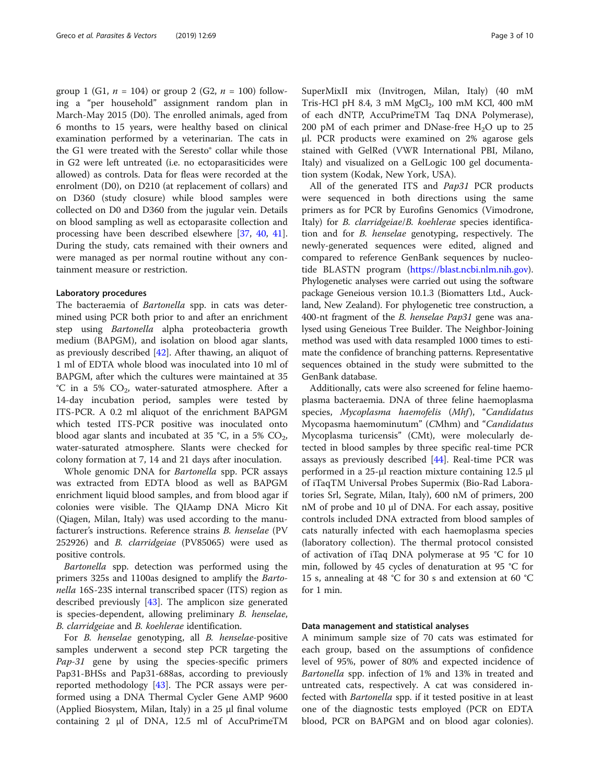group 1 (G1,  $n = 104$ ) or group 2 (G2,  $n = 100$ ) following a "per household" assignment random plan in March-May 2015 (D0). The enrolled animals, aged from 6 months to 15 years, were healthy based on clinical examination performed by a veterinarian. The cats in the G1 were treated with the Seresto® collar while those in G2 were left untreated (i.e. no ectoparasiticides were allowed) as controls. Data for fleas were recorded at the enrolment (D0), on D210 (at replacement of collars) and on D360 (study closure) while blood samples were collected on D0 and D360 from the jugular vein. Details on blood sampling as well as ectoparasite collection and processing have been described elsewhere [\[37](#page-8-0), [40,](#page-8-0) [41](#page-8-0)]. During the study, cats remained with their owners and were managed as per normal routine without any containment measure or restriction.

## Laboratory procedures

The bacteraemia of Bartonella spp. in cats was determined using PCR both prior to and after an enrichment step using Bartonella alpha proteobacteria growth medium (BAPGM), and isolation on blood agar slants, as previously described [[42\]](#page-8-0). After thawing, an aliquot of 1 ml of EDTA whole blood was inoculated into 10 ml of BAPGM, after which the cultures were maintained at 35 °C in a 5%  $CO<sub>2</sub>$ , water-saturated atmosphere. After a 14-day incubation period, samples were tested by ITS-PCR. A 0.2 ml aliquot of the enrichment BAPGM which tested ITS-PCR positive was inoculated onto blood agar slants and incubated at 35 °C, in a 5%  $CO<sub>2</sub>$ , water-saturated atmosphere. Slants were checked for colony formation at 7, 14 and 21 days after inoculation.

Whole genomic DNA for Bartonella spp. PCR assays was extracted from EDTA blood as well as BAPGM enrichment liquid blood samples, and from blood agar if colonies were visible. The QIAamp DNA Micro Kit (Qiagen, Milan, Italy) was used according to the manufacturer's instructions. Reference strains B. henselae (PV 252926) and B. clarridgeiae (PV85065) were used as positive controls.

Bartonella spp. detection was performed using the primers 325s and 1100as designed to amplify the Bartonella 16S-23S internal transcribed spacer (ITS) region as described previously [\[43\]](#page-8-0). The amplicon size generated is species-dependent, allowing preliminary B. henselae, B. clarridgeiae and B. koehlerae identification.

For B. henselae genotyping, all B. henselae-positive samples underwent a second step PCR targeting the Pap-31 gene by using the species-specific primers Pap31-BHSs and Pap31-688as, according to previously reported methodology [\[43](#page-8-0)]. The PCR assays were performed using a DNA Thermal Cycler Gene AMP 9600 (Applied Biosystem, Milan, Italy) in a 25 μl final volume containing 2 μl of DNA, 12.5 ml of AccuPrimeTM SuperMixII mix (Invitrogen, Milan, Italy) (40 mM Tris-HCl pH 8.4, 3 mM  $MgCl<sub>2</sub>$ , 100 mM KCl, 400 mM of each dNTP, AccuPrimeTM Taq DNA Polymerase), 200 pM of each primer and DNase-free  $H_2O$  up to 25 μl. PCR products were examined on 2% agarose gels stained with GelRed (VWR International PBI, Milano, Italy) and visualized on a GelLogic 100 gel documentation system (Kodak, New York, USA).

All of the generated ITS and Pap31 PCR products were sequenced in both directions using the same primers as for PCR by Eurofins Genomics (Vimodrone, Italy) for B. clarridgeiae/B. koehlerae species identification and for B. henselae genotyping, respectively. The newly-generated sequences were edited, aligned and compared to reference GenBank sequences by nucleotide BLASTN program [\(https://blast.ncbi.nlm.nih.gov](https://blast.ncbi.nlm.nih.gov)). Phylogenetic analyses were carried out using the software package Geneious version 10.1.3 (Biomatters Ltd., Auckland, New Zealand). For phylogenetic tree construction, a 400-nt fragment of the *B. henselae Pap31* gene was analysed using Geneious Tree Builder. The Neighbor-Joining method was used with data resampled 1000 times to estimate the confidence of branching patterns. Representative sequences obtained in the study were submitted to the GenBank database.

Additionally, cats were also screened for feline haemoplasma bacteraemia. DNA of three feline haemoplasma species, Mycoplasma haemofelis (Mhf), "Candidatus Mycopasma haemominutum" (CMhm) and "Candidatus Mycoplasma turicensis" (CMt), were molecularly detected in blood samples by three specific real-time PCR assays as previously described [\[44\]](#page-8-0). Real-time PCR was performed in a 25-μl reaction mixture containing 12.5 μl of iTaqTM Universal Probes Supermix (Bio-Rad Laboratories Srl, Segrate, Milan, Italy), 600 nM of primers, 200 nM of probe and 10 μl of DNA. For each assay, positive controls included DNA extracted from blood samples of cats naturally infected with each haemoplasma species (laboratory collection). The thermal protocol consisted of activation of iTaq DNA polymerase at 95 °C for 10 min, followed by 45 cycles of denaturation at 95 °C for 15 s, annealing at 48 °C for 30 s and extension at 60 °C for 1 min.

# Data management and statistical analyses

A minimum sample size of 70 cats was estimated for each group, based on the assumptions of confidence level of 95%, power of 80% and expected incidence of Bartonella spp. infection of 1% and 13% in treated and untreated cats, respectively. A cat was considered infected with Bartonella spp. if it tested positive in at least one of the diagnostic tests employed (PCR on EDTA blood, PCR on BAPGM and on blood agar colonies).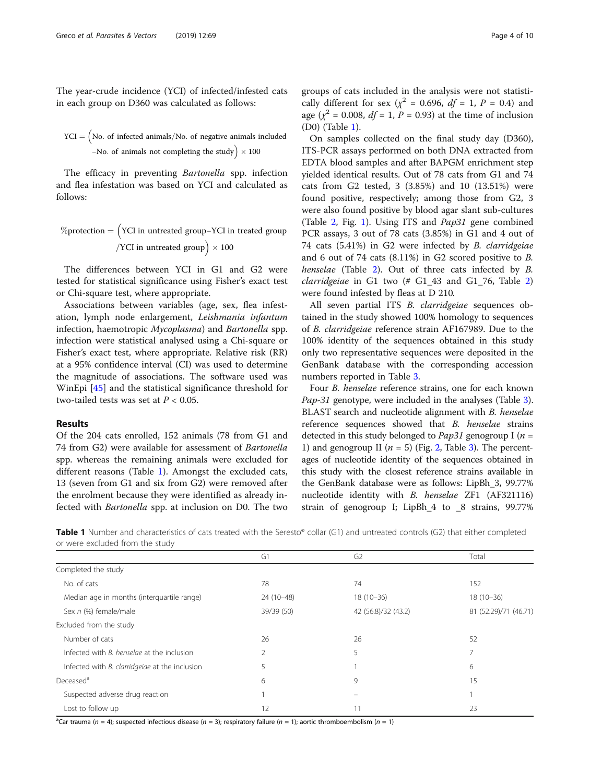The year-crude incidence (YCI) of infected/infested cats in each group on D360 was calculated as follows:

$$
YCI = (No. of infected animals/No. of negative animals included -No. of animals not completing the study) \times 100
$$

The efficacy in preventing Bartonella spp. infection and flea infestation was based on YCI and calculated as follows:

$$
\%protein = \left(YCI in untreated group-YCI in treated group \right) \times 100
$$

The differences between YCI in G1 and G2 were tested for statistical significance using Fisher's exact test or Chi-square test, where appropriate.

Associations between variables (age, sex, flea infestation, lymph node enlargement, Leishmania infantum infection, haemotropic Mycoplasma) and Bartonella spp. infection were statistical analysed using a Chi-square or Fisher's exact test, where appropriate. Relative risk (RR) at a 95% confidence interval (CI) was used to determine the magnitude of associations. The software used was WinEpi [\[45](#page-8-0)] and the statistical significance threshold for two-tailed tests was set at  $P < 0.05$ .

# Results

Of the 204 cats enrolled, 152 animals (78 from G1 and 74 from G2) were available for assessment of Bartonella spp. whereas the remaining animals were excluded for different reasons (Table 1). Amongst the excluded cats, 13 (seven from G1 and six from G2) were removed after the enrolment because they were identified as already infected with Bartonella spp. at inclusion on D0. The two groups of cats included in the analysis were not statistically different for sex ( $\chi^2$  = 0.696, df = 1, P = 0.4) and age ( $\chi^2$  = 0.008, *df* = 1, *P* = 0.93) at the time of inclusion (D0) (Table 1).

On samples collected on the final study day (D360), ITS-PCR assays performed on both DNA extracted from EDTA blood samples and after BAPGM enrichment step yielded identical results. Out of 78 cats from G1 and 74 cats from G2 tested, 3 (3.85%) and 10 (13.51%) were found positive, respectively; among those from G2, 3 were also found positive by blood agar slant sub-cultures (Table [2](#page-4-0), Fig. [1](#page-4-0)). Using ITS and Pap31 gene combined PCR assays, 3 out of 78 cats (3.85%) in G1 and 4 out of 74 cats (5.41%) in G2 were infected by B. clarridgeiae and 6 out of 74 cats (8.11%) in G2 scored positive to B. henselae (Table [2\)](#page-4-0). Out of three cats infected by B. *clarridgeiae* in G1 two  $#$  G1\_43 and G1\_76, Table [2](#page-4-0)) were found infested by fleas at D 210.

All seven partial ITS B. clarridgeiae sequences obtained in the study showed 100% homology to sequences of B. clarridgeiae reference strain AF167989. Due to the 100% identity of the sequences obtained in this study only two representative sequences were deposited in the GenBank database with the corresponding accession numbers reported in Table [3](#page-5-0).

Four B. henselae reference strains, one for each known Pap-31 genotype, were included in the analyses (Table [3](#page-5-0)). BLAST search and nucleotide alignment with B. henselae reference sequences showed that B. henselae strains detected in this study belonged to *Pap31* genogroup I ( $n =$ 1) and genogroup II ( $n = 5$ ) (Fig. [2](#page-5-0), Table [3](#page-5-0)). The percentages of nucleotide identity of the sequences obtained in this study with the closest reference strains available in the GenBank database were as follows: LipBh\_3, 99.77% nucleotide identity with B. henselae ZF1 (AF321116) strain of genogroup I; LipBh\_4 to \_8 strains, 99.77%

Table 1 Number and characteristics of cats treated with the Seresto® collar (G1) and untreated controls (G2) that either completed or were excluded from the study

|                                                       | G1         | G <sub>2</sub>      | Total                 |
|-------------------------------------------------------|------------|---------------------|-----------------------|
| Completed the study                                   |            |                     |                       |
| No. of cats                                           | 78         | 74                  | 152                   |
| Median age in months (interguartile range)            | 24 (10-48) | $18(10-36)$         | $18(10-36)$           |
| Sex n (%) female/male                                 | 39/39 (50) | 42 (56.8)/32 (43.2) | 81 (52.29)/71 (46.71) |
| Excluded from the study                               |            |                     |                       |
| Number of cats                                        | 26         | 26                  | 52                    |
| Infected with B. henselae at the inclusion            | 2          | 5                   |                       |
| Infected with <i>B. clarridgeiae</i> at the inclusion | 5          |                     | 6                     |
| Deceased <sup>a</sup>                                 | 6          | 9                   | 15                    |
| Suspected adverse drug reaction                       |            |                     |                       |
| Lost to follow up                                     | 12         |                     | 23                    |

<sup>a</sup>Car trauma (n = 4); suspected infectious disease (n = 3); respiratory failure (n = 1); aortic thromboembolism (n = 1)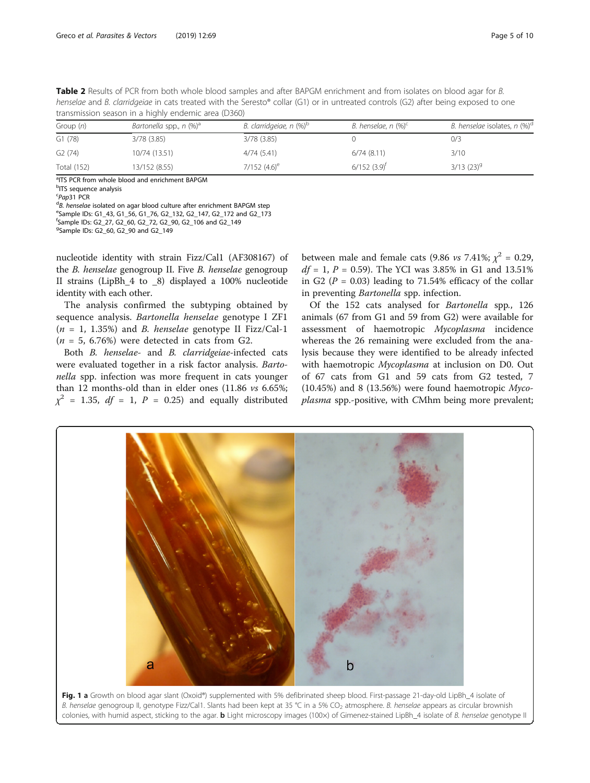<span id="page-4-0"></span>

| Table 2 Results of PCR from both whole blood samples and after BAPGM enrichment and from isolates on blood agar for B.              |
|-------------------------------------------------------------------------------------------------------------------------------------|
| henselae and B. clarridgeiae in cats treated with the Seresto® collar (G1) or in untreated controls (G2) after being exposed to one |
| transmission season in a highly endemic area (D360)                                                                                 |

| Bartonella spp., n (%) <sup>a</sup><br>Group $(n)$ |               | B. clarridgeiae, $n$ (%) <sup>b</sup> | B. henselae, n $(\%)^c$   | B. henselae isolates, n (%) <sup>d</sup> |  |
|----------------------------------------------------|---------------|---------------------------------------|---------------------------|------------------------------------------|--|
| G1(78)                                             | 3/78(3.85)    | 3/78(3.85)                            |                           | 0/3                                      |  |
| G2(74)                                             | 10/74 (13.51) | 4/74(5.41)                            | 6/74(8.11)                | 3/10                                     |  |
| Total (152)                                        | 13/152 (8.55) | $7/152$ (4.6) <sup>e</sup>            | $6/152$ $(3.9)^{\dagger}$ | $3/13$ $(23)^9$                          |  |

<sup>a</sup>ITS PCR from whole blood and enrichment BAPGM <sup>b</sup>ITS sequence analysis

<sup>c</sup>Pap31 PCR<br><sup>d</sup>B\_benselae  ${}^{d}$ B. henselae isolated on agar blood culture after enrichment BAPGM step <sup>e</sup>Sample IDs: G1\_43, G1\_56, G1\_76, G2\_132, G2\_147, G2\_172 and G2\_173 f Sample IDs: G2\_27, G2\_60, G2\_72, G2\_90, G2\_106 and G2\_149 <sup>9</sup>Sample IDs: G2\_60, G2\_90 and G2\_149

nucleotide identity with strain Fizz/Cal1 (AF308167) of the B. henselae genogroup II. Five B. henselae genogroup II strains (LipBh\_4 to \_8) displayed a 100% nucleotide identity with each other.

The analysis confirmed the subtyping obtained by sequence analysis. Bartonella henselae genotype I ZF1  $(n = 1, 1.35%)$  and *B. henselae* genotype II Fizz/Cal-1  $(n = 5, 6.76%)$  were detected in cats from G2.

Both B. henselae- and B. clarridgeiae-infected cats were evaluated together in a risk factor analysis. Bartonella spp. infection was more frequent in cats younger than 12 months-old than in elder ones (11.86 vs 6.65%;  $\chi^2$  = 1.35, df = 1, P = 0.25) and equally distributed

between male and female cats (9.86 *vs* 7.41%;  $\chi^2$  = 0.29,  $df = 1, P = 0.59$ . The YCI was 3.85% in G1 and 13.51% in G2 ( $P = 0.03$ ) leading to 71.54% efficacy of the collar in preventing Bartonella spp. infection.

Of the 152 cats analysed for Bartonella spp., 126 animals (67 from G1 and 59 from G2) were available for assessment of haemotropic Mycoplasma incidence whereas the 26 remaining were excluded from the analysis because they were identified to be already infected with haemotropic Mycoplasma at inclusion on D0. Out of 67 cats from G1 and 59 cats from G2 tested, 7 (10.45%) and 8 (13.56%) were found haemotropic  $Myco$ plasma spp.-positive, with CMhm being more prevalent;



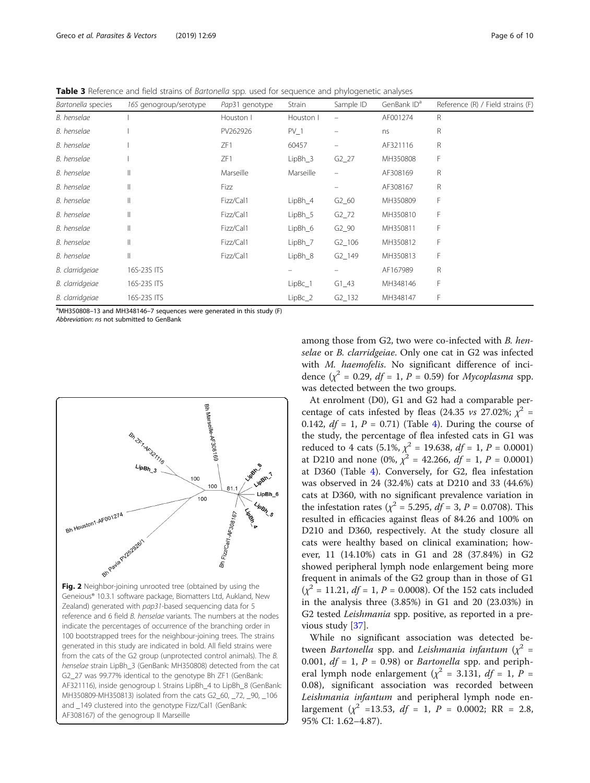<span id="page-5-0"></span>Table 3 Reference and field strains of Bartonella spp. used for sequence and phylogenetic analyses

| Bartonella species | 16S genogroup/serotype | Pap31 genotype | Strain    | Sample ID            | GenBank ID <sup>a</sup> | Reference (R) / Field strains (F) |
|--------------------|------------------------|----------------|-----------|----------------------|-------------------------|-----------------------------------|
| B. henselae        |                        | Houston I      | Houston I |                      | AF001274                | R                                 |
| B. henselae        |                        | PV262926       | $PV_1$    |                      | ns                      | R                                 |
| B. henselae        |                        | ZF1            | 60457     |                      | AF321116                | R                                 |
| B. henselae        |                        | ZF1            | $LipBh_3$ | $G2_2$               | MH350808                | F                                 |
| B. henselae        | $\mathbb{I}$           | Marseille      | Marseille |                      | AF308169                | R                                 |
| B. henselae        | $\mathbb{I}$           | Fizz           |           |                      | AF308167                | R                                 |
| B. henselae        | $\mathbb{I}$           | Fizz/Cal1      | $LipBh_4$ | $G2_60$              | MH350809                | F                                 |
| B. henselae        | $\mathbb{I}$           | Fizz/Cal1      | $LipBh_5$ | $G2_72$              | MH350810                | F                                 |
| B. henselae        | Ш                      | Fizz/Cal1      | $LipBh_6$ | $G2_90$              | MH350811                | F                                 |
| B. henselae        | $\mathbb{I}$           | Fizz/Cal1      | $LipBh_7$ | $G2$ <sub>-106</sub> | MH350812                | F                                 |
| B. henselae        | $\parallel$            | Fizz/Cal1      | LipBh_8   | $G2_149$             | MH350813                | F                                 |
| B. clarridgeiae    | 16S-23S ITS            |                |           |                      | AF167989                | R                                 |
| B. clarridgeiae    | 16S-23S ITS            |                | $LipBc_1$ | $G1_43$              | MH348146                | F                                 |
| B. clarridgeiae    | 16S-23S ITS            |                | $LipBc_2$ | $G2_132$             | MH348147                | F                                 |

<sup>a</sup>MH350808-13 and MH348146-7 sequences were generated in this study (F)

Abbreviation: ns not submitted to GenBank



Fig. 2 Neighbor-joining unrooted tree (obtained by using the Geneious® 10.3.1 software package, Biomatters Ltd, Aukland, New Zealand) generated with pap31-based sequencing data for 5 reference and 6 field B. henselae variants. The numbers at the nodes indicate the percentages of occurrence of the branching order in 100 bootstrapped trees for the neighbour-joining trees. The strains generated in this study are indicated in bold. All field strains were from the cats of the G2 group (unprotected control animals). The B. henselae strain LipBh\_3 (GenBank: MH350808) detected from the cat G2\_27 was 99.77% identical to the genotype Bh ZF1 (GenBank: AF321116), inside genogroup I. Strains LipBh\_4 to LipBh\_8 (GenBank: MH350809-MH350813) isolated from the cats G2\_60, \_72, \_90, \_106 and \_149 clustered into the genotype Fizz/Cal1 (GenBank: AF308167) of the genogroup II Marseille

among those from G2, two were co-infected with B. henselae or B. clarridgeiae. Only one cat in G2 was infected with *M. haemofelis*. No significant difference of incidence  $(\chi^2 = 0.29, df = 1, P = 0.59)$  for *Mycoplasma* spp. was detected between the two groups.

At enrolment (D0), G1 and G2 had a comparable percentage of cats infested by fleas (24.35 *vs* 27.02%;  $\chi^2$  = 0.1[4](#page-6-0)2,  $df = 1$ ,  $P = 0.71$ ) (Table 4). During the course of the study, the percentage of flea infested cats in G1 was reduced to 4 cats (5.1%,  $\chi^2$  = 19.638,  $df = 1$ ,  $P = 0.0001$ ) at D210 and none (0%,  $\chi^2$  = 42.266,  $df = 1$ , P = 0.0001) at D360 (Table [4\)](#page-6-0). Conversely, for G2, flea infestation was observed in 24 (32.4%) cats at D210 and 33 (44.6%) cats at D360, with no significant prevalence variation in the infestation rates ( $\chi^2$  = 5.295, *df* = 3, *P* = 0.0708). This resulted in efficacies against fleas of 84.26 and 100% on D210 and D360, respectively. At the study closure all cats were healthy based on clinical examination; however, 11 (14.10%) cats in G1 and 28 (37.84%) in G2 showed peripheral lymph node enlargement being more frequent in animals of the G2 group than in those of G1  $(\chi^2 = 11.21, df = 1, P = 0.0008)$ . Of the 152 cats included in the analysis three (3.85%) in G1 and 20 (23.03%) in G2 tested Leishmania spp. positive, as reported in a previous study [[37\]](#page-8-0).

While no significant association was detected between *Bartonella* spp. and *Leishmania infantum* ( $\chi^2$  = 0.001,  $df = 1$ ,  $P = 0.98$ ) or *Bartonella* spp. and peripheral lymph node enlargement ( $\chi^2$  = 3.131, df = 1, P = 0.08), significant association was recorded between Leishmania infantum and peripheral lymph node enlargement ( $\chi^2$  =13.53, df = 1, P = 0.0002; RR = 2.8, 95% CI: 1.62–4.87).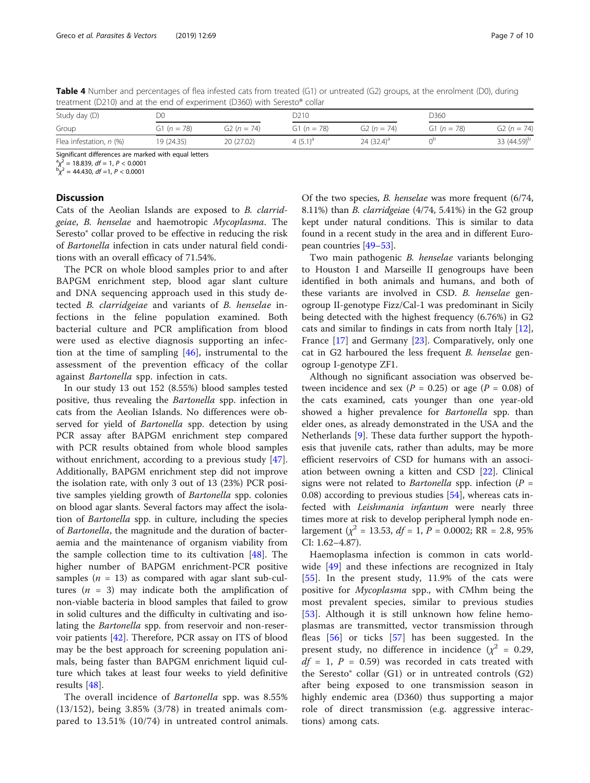<span id="page-6-0"></span>Table 4 Number and percentages of flea infested cats from treated (G1) or untreated (G2) groups, at the enrolment (D0), during treatment (D210) and at the end of experiment (D360) with Seresto® collar

| Study day (D)           | D0            |                             |                 | D210                        |               | D360.                   |  |
|-------------------------|---------------|-----------------------------|-----------------|-----------------------------|---------------|-------------------------|--|
| Group                   | G1 $(n = 78)$ | G <sub>2</sub> ( $n = 74$ ) | G1 ( $n = 78$ ) | G <sub>2</sub> ( $n = 74$ ) | G1 $(n = 78)$ | $G2(n = 74)$            |  |
| Flea infestation, n (%) | 19 (24.35)    | 20 (27.02)                  | 4 $(5.1)^a$     | 24 $(32.4)$ <sup>a</sup>    |               | 33 (44.59) <sup>b</sup> |  |

Significant differences are marked with equal letters

 $\binom{a}{x^2}$  = 18.839, df = 1, P < 0.0001<br>  $\binom{b}{x^2}$  = 44.430, df =1, P < 0.0001

# **Discussion**

Cats of the Aeolian Islands are exposed to B. clarridgeiae, B. henselae and haemotropic Mycoplasma. The Seresto® collar proved to be effective in reducing the risk of Bartonella infection in cats under natural field conditions with an overall efficacy of 71.54%.

The PCR on whole blood samples prior to and after BAPGM enrichment step, blood agar slant culture and DNA sequencing approach used in this study detected B. clarridgeiae and variants of B. henselae infections in the feline population examined. Both bacterial culture and PCR amplification from blood were used as elective diagnosis supporting an infection at the time of sampling [[46\]](#page-8-0), instrumental to the assessment of the prevention efficacy of the collar against Bartonella spp. infection in cats.

In our study 13 out 152 (8.55%) blood samples tested positive, thus revealing the Bartonella spp. infection in cats from the Aeolian Islands. No differences were observed for yield of *Bartonella* spp. detection by using PCR assay after BAPGM enrichment step compared with PCR results obtained from whole blood samples without enrichment, according to a previous study [\[47](#page-8-0)]. Additionally, BAPGM enrichment step did not improve the isolation rate, with only 3 out of 13 (23%) PCR positive samples yielding growth of Bartonella spp. colonies on blood agar slants. Several factors may affect the isolation of Bartonella spp. in culture, including the species of Bartonella, the magnitude and the duration of bacteraemia and the maintenance of organism viability from the sample collection time to its cultivation  $[48]$  $[48]$ . The higher number of BAPGM enrichment-PCR positive samples ( $n = 13$ ) as compared with agar slant sub-cultures ( $n = 3$ ) may indicate both the amplification of non-viable bacteria in blood samples that failed to grow in solid cultures and the difficulty in cultivating and isolating the Bartonella spp. from reservoir and non-reservoir patients [\[42](#page-8-0)]. Therefore, PCR assay on ITS of blood may be the best approach for screening population animals, being faster than BAPGM enrichment liquid culture which takes at least four weeks to yield definitive results [[48](#page-8-0)].

The overall incidence of Bartonella spp. was 8.55% (13/152), being 3.85% (3/78) in treated animals compared to 13.51% (10/74) in untreated control animals.

Of the two species, B. henselae was more frequent (6/74, 8.11%) than B. clarridgeiae (4/74, 5.41%) in the G2 group kept under natural conditions. This is similar to data found in a recent study in the area and in different European countries [\[49](#page-9-0)–[53](#page-9-0)].

Two main pathogenic B. henselae variants belonging to Houston I and Marseille II genogroups have been identified in both animals and humans, and both of these variants are involved in CSD. B. henselae genogroup II-genotype Fizz/Cal-1 was predominant in Sicily being detected with the highest frequency (6.76%) in G2 cats and similar to findings in cats from north Italy [\[12](#page-8-0)], France [[17\]](#page-8-0) and Germany [[23\]](#page-8-0). Comparatively, only one cat in G2 harboured the less frequent B. henselae genogroup I-genotype ZF1.

Although no significant association was observed between incidence and sex ( $P = 0.25$ ) or age ( $P = 0.08$ ) of the cats examined, cats younger than one year-old showed a higher prevalence for *Bartonella* spp. than elder ones, as already demonstrated in the USA and the Netherlands [\[9](#page-8-0)]. These data further support the hypothesis that juvenile cats, rather than adults, may be more efficient reservoirs of CSD for humans with an association between owning a kitten and CSD [[22](#page-8-0)]. Clinical signs were not related to *Bartonella* spp. infection ( $P =$ 0.08) according to previous studies [\[54\]](#page-9-0), whereas cats infected with Leishmania infantum were nearly three times more at risk to develop peripheral lymph node enlargement ( $\chi^2$  = 13.53, df = 1, P = 0.0002; RR = 2.8, 95% CI: 1.62–4.87).

Haemoplasma infection is common in cats world-wide [[49\]](#page-9-0) and these infections are recognized in Italy [[55\]](#page-9-0). In the present study, 11.9% of the cats were positive for Mycoplasma spp., with CMhm being the most prevalent species, similar to previous studies [[53\]](#page-9-0). Although it is still unknown how feline hemoplasmas are transmitted, vector transmission through fleas [[56\]](#page-9-0) or ticks [\[57](#page-9-0)] has been suggested. In the present study, no difference in incidence ( $\chi^2$  = 0.29,  $df = 1$ ,  $P = 0.59$  was recorded in cats treated with the Seresto® collar (G1) or in untreated controls (G2) after being exposed to one transmission season in highly endemic area (D360) thus supporting a major role of direct transmission (e.g. aggressive interactions) among cats.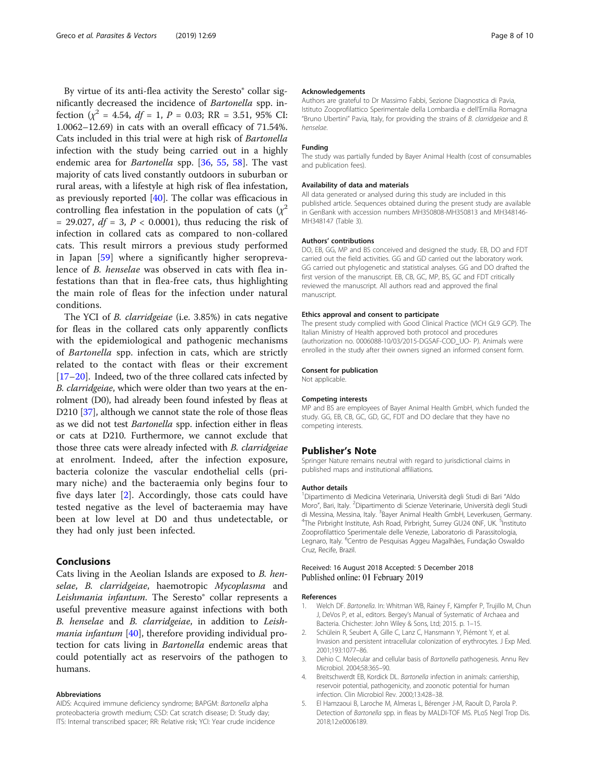<span id="page-7-0"></span>By virtue of its anti-flea activity the Seresto® collar significantly decreased the incidence of Bartonella spp. infection  $(\chi^2 = 4.54, df = 1, P = 0.03; RR = 3.51, 95\% \text{ CI}:$ 1.0062–12.69) in cats with an overall efficacy of 71.54%. Cats included in this trial were at high risk of Bartonella infection with the study being carried out in a highly endemic area for Bartonella spp. [[36,](#page-8-0) [55,](#page-9-0) [58\]](#page-9-0). The vast majority of cats lived constantly outdoors in suburban or rural areas, with a lifestyle at high risk of flea infestation, as previously reported [\[40](#page-8-0)]. The collar was efficacious in controlling flea infestation in the population of cats  $(\chi^2)$ = 29.027,  $df = 3$ ,  $P < 0.0001$ ), thus reducing the risk of infection in collared cats as compared to non-collared cats. This result mirrors a previous study performed in Japan [\[59](#page-9-0)] where a significantly higher seroprevalence of B. henselae was observed in cats with flea infestations than that in flea-free cats, thus highlighting the main role of fleas for the infection under natural conditions.

The YCI of B. clarridgeiae (i.e. 3.85%) in cats negative for fleas in the collared cats only apparently conflicts with the epidemiological and pathogenic mechanisms of Bartonella spp. infection in cats, which are strictly related to the contact with fleas or their excrement [[17](#page-8-0)–[20\]](#page-8-0). Indeed, two of the three collared cats infected by B. clarridgeiae, which were older than two years at the enrolment (D0), had already been found infested by fleas at D210 [\[37\]](#page-8-0), although we cannot state the role of those fleas as we did not test Bartonella spp. infection either in fleas or cats at D210. Furthermore, we cannot exclude that those three cats were already infected with B. clarridgeiae at enrolment. Indeed, after the infection exposure, bacteria colonize the vascular endothelial cells (primary niche) and the bacteraemia only begins four to five days later [2]. Accordingly, those cats could have tested negative as the level of bacteraemia may have been at low level at D0 and thus undetectable, or they had only just been infected.

# Conclusions

Cats living in the Aeolian Islands are exposed to B. henselae, B. clarridgeiae, haemotropic Mycoplasma and Leishmania infantum. The Seresto<sup>®</sup> collar represents a useful preventive measure against infections with both B. henselae and B. clarridgeiae, in addition to Leish*mania infantum* [[40\]](#page-8-0), therefore providing individual protection for cats living in Bartonella endemic areas that could potentially act as reservoirs of the pathogen to humans.

#### Abbreviations

AIDS: Acquired immune deficiency syndrome; BAPGM: Bartonella alpha proteobacteria growth medium; CSD: Cat scratch disease; D: Study day; ITS: Internal transcribed spacer; RR: Relative risk; YCI: Year crude incidence

#### Acknowledgements

Authors are grateful to Dr Massimo Fabbi, Sezione Diagnostica di Pavia, Istituto Zooprofilattico Sperimentale della Lombardia e dell'Emilia Romagna "Bruno Ubertini" Pavia, Italy, for providing the strains of B. clarridgeiae and B. henselae.

#### Funding

The study was partially funded by Bayer Animal Health (cost of consumables and publication fees).

#### Availability of data and materials

All data generated or analysed during this study are included in this published article. Sequences obtained during the present study are available in GenBank with accession numbers MH350808-MH350813 and MH348146- MH348147 (Table 3).

#### Authors' contributions

DO, EB, GG, MP and BS conceived and designed the study. EB, DO and FDT carried out the field activities. GG and GD carried out the laboratory work. GG carried out phylogenetic and statistical analyses. GG and DO drafted the first version of the manuscript. EB, CB, GC, MP, BS, GC and FDT critically reviewed the manuscript. All authors read and approved the final manuscript.

#### Ethics approval and consent to participate

The present study complied with Good Clinical Practice (VICH GL9 GCP). The Italian Ministry of Health approved both protocol and procedures (authorization no. 0006088-10/03/2015-DGSAF-COD\_UO- P). Animals were enrolled in the study after their owners signed an informed consent form.

# Consent for publication

Not applicable.

#### Competing interests

MP and BS are employees of Bayer Animal Health GmbH, which funded the study. GG, EB, CB, GC, GD, GC, FDT and DO declare that they have no competing interests.

#### Publisher's Note

Springer Nature remains neutral with regard to jurisdictional claims in published maps and institutional affiliations.

#### Author details

<sup>1</sup> Dipartimento di Medicina Veterinaria, Università degli Studi di Bari "Aldo Moro", Bari, Italy. <sup>2</sup>Dipartimento di Scienze Veterinarie, Università degli Studi di Messina, Messina, Italy. <sup>3</sup>Bayer Animal Health GmbH, Leverkusen, Germany.<br><sup>4</sup>The Pirbright Institute, Ach Pead, Pirbright, Surroy GU24 ANE, UK. <sup>5</sup>Institute. The Pirbright Institute, Ash Road, Pirbright, Surrey GU24 0NF, UK. <sup>5</sup>Institutc Zooprofilattico Sperimentale delle Venezie, Laboratorio di Parassitologia, Legnaro, Italy. <sup>6</sup>Centro de Pesquisas Aggeu Magalhães, Fundação Oswaldo Cruz, Recife, Brazil.

## Received: 16 August 2018 Accepted: 5 December 2018 Published online: 01 February 2019

#### References

- 1. Welch DF. Bartonella. In: Whitman WB, Rainey F, Kämpfer P, Trujillo M, Chun J, DeVos P, et al., editors. Bergey's Manual of Systematic of Archaea and Bacteria. Chichester: John Wiley & Sons, Ltd; 2015. p. 1–15.
- 2. Schülein R, Seubert A, Gille C, Lanz C, Hansmann Y, Piémont Y, et al. Invasion and persistent intracellular colonization of erythrocytes. J Exp Med. 2001;193:1077–86.
- 3. Dehio C. Molecular and cellular basis of Bartonella pathogenesis. Annu Rev Microbiol. 2004;58:365–90.
- 4. Breitschwerdt EB, Kordick DL. Bartonella infection in animals: carriership, reservoir potential, pathogenicity, and zoonotic potential for human infection. Clin Microbiol Rev. 2000;13:428–38.
- 5. El Hamzaoui B, Laroche M, Almeras L, Bérenger J-M, Raoult D, Parola P. Detection of Bartonella spp. in fleas by MALDI-TOF MS. PLoS Negl Trop Dis. 2018;12:e0006189.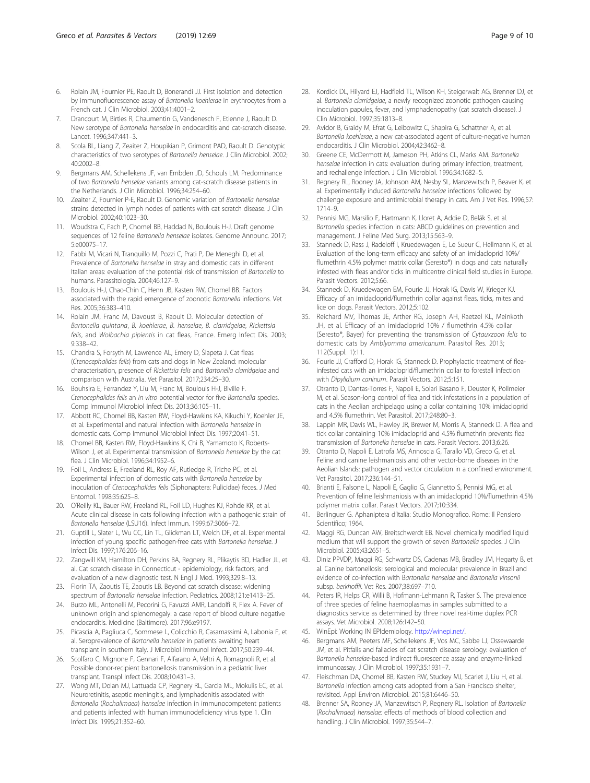- <span id="page-8-0"></span>6. Rolain JM, Fournier PE, Raoult D, Bonerandi JJ. First isolation and detection by immunofluorescence assay of Bartonella koehlerae in erythrocytes from a French cat. J Clin Microbiol. 2003;41:4001–2.
- 7. Drancourt M, Birtles R, Chaumentin G, Vandenesch F, Etienne J, Raoult D. New serotype of Bartonella henselae in endocarditis and cat-scratch disease. Lancet. 1996;347:441–3.
- Scola BL, Liang Z, Zeaiter Z, Houpikian P, Grimont PAD, Raoult D. Genotypic characteristics of two serotypes of Bartonella henselae. J Clin Microbiol. 2002; 40:2002–8.
- 9. Bergmans AM, Schellekens JF, van Embden JD, Schouls LM. Predominance of two Bartonella henselae variants among cat-scratch disease patients in the Netherlands. J Clin Microbiol. 1996;34:254–60.
- 10. Zeaiter Z, Fournier P-E, Raoult D. Genomic variation of Bartonella henselae strains detected in lymph nodes of patients with cat scratch disease. J Clin Microbiol. 2002;40:1023–30.
- 11. Woudstra C, Fach P, Chomel BB, Haddad N, Boulouis H-J. Draft genome sequences of 12 feline *Bartonella henselae* isolates. Genome Announc. 2017: 5:e00075–17.
- 12. Fabbi M, Vicari N, Tranquillo M, Pozzi C, Prati P, De Meneghi D, et al. Prevalence of Bartonella henselae in stray and domestic cats in different Italian areas: evaluation of the potential risk of transmission of Bartonella to humans. Parassitologia. 2004;46:127–9.
- 13. Boulouis H-J, Chao-Chin C, Henn JB, Kasten RW, Chomel BB. Factors associated with the rapid emergence of zoonotic Bartonella infections. Vet Res. 2005;36:383–410.
- 14. Rolain JM, Franc M, Davoust B, Raoult D. Molecular detection of Bartonella quintana, B. koehlerae, B. henselae, B. clarridgeiae, Rickettsia felis, and Wolbachia pipientis in cat fleas, France. Emerg Infect Dis. 2003; 9:338–42.
- 15. Chandra S, Forsyth M, Lawrence AL, Emery D, Šlapeta J. Cat fleas (Ctenocephalides felis) from cats and dogs in New Zealand: molecular characterisation, presence of Rickettsia felis and Bartonella clarridgeiae and comparison with Australia. Vet Parasitol. 2017;234:25–30.
- 16. Bouhsira E, Ferrandez Y, Liu M, Franc M, Boulouis H-J, Biville F. Ctenocephalides felis an in vitro potential vector for five Bartonella species. Comp Immunol Microbiol Infect Dis. 2013;36:105–11.
- 17. Abbott RC, Chomel BB, Kasten RW, Floyd-Hawkins KA, Kikuchi Y, Koehler JE, et al. Experimental and natural infection with Bartonella henselae in domestic cats. Comp Immunol Microbiol Infect Dis. 1997;20:41–51.
- 18. Chomel BB, Kasten RW, Floyd-Hawkins K, Chi B, Yamamoto K, Roberts-Wilson J, et al. Experimental transmission of Bartonella henselae by the cat flea. J Clin Microbiol. 1996;34:1952–6.
- 19. Foil L, Andress E, Freeland RL, Roy AF, Rutledge R, Triche PC, et al. Experimental infection of domestic cats with Bartonella henselae by inoculation of Ctenocephalides felis (Siphonaptera: Pulicidae) feces. J Med Entomol. 1998;35:625–8.
- 20. O'Reilly KL, Bauer RW, Freeland RL, Foil LD, Hughes KJ, Rohde KR, et al. Acute clinical disease in cats following infection with a pathogenic strain of Bartonella henselae (LSU16). Infect Immun. 1999;67:3066–72.
- 21. Guptill L, Slater L, Wu CC, Lin TL, Glickman LT, Welch DF, et al. Experimental infection of young specific pathogen-free cats with Bartonella henselae. J Infect Dis. 1997;176:206–16.
- 22. Zangwill KM, Hamilton DH, Perkins BA, Regnery RL, Plikaytis BD, Hadler JL, et al. Cat scratch disease in Connecticut - epidemiology, risk factors, and evaluation of a new diagnostic test. N Engl J Med. 1993;329:8–13.
- 23. Florin TA, Zaoutis TE, Zaoutis LB. Beyond cat scratch disease: widening spectrum of Bartonella henselae infection. Pediatrics. 2008;121:e1413–25.
- 24. Burzo ML, Antonelli M, Pecorini G, Favuzzi AMR, Landolfi R, Flex A. Fever of unknown origin and splenomegaly: a case report of blood culture negative endocarditis. Medicine (Baltimore). 2017;96:e9197.
- 25. Picascia A, Pagliuca C, Sommese L, Colicchio R, Casamassimi A, Labonia F, et al. Seroprevalence of Bartonella henselae in patients awaiting heart transplant in southern Italy. J Microbiol Immunol Infect. 2017;50:239–44.
- 26. Scolfaro C, Mignone F, Gennari F, Alfarano A, Veltri A, Romagnoli R, et al. Possible donor-recipient bartonellosis transmission in a pediatric liver transplant. Transpl Infect Dis. 2008;10:431–3.
- 27. Wong MT, Dolan MJ, Lattuada CP, Regnery RL, Garcia ML, Mokulis EC, et al. Neuroretinitis, aseptic meningitis, and lymphadenitis associated with Bartonella (Rochalimaea) henselae infection in immunocompetent patients and patients infected with human immunodeficiency virus type 1. Clin Infect Dis. 1995;21:352–60.
- 28. Kordick DL, Hilyard EJ, Hadfield TL, Wilson KH, Steigerwalt AG, Brenner DJ, et al. Bartonella clarridgeiae, a newly recognized zoonotic pathogen causing inoculation papules, fever, and lymphadenopathy (cat scratch disease). J Clin Microbiol. 1997;35:1813–8.
- 29. Avidor B, Graidy M, Efrat G, Leibowitz C, Shapira G, Schattner A, et al. Bartonella koehlerae, a new cat-associated agent of culture-negative human endocarditis. J Clin Microbiol. 2004;42:3462–8.
- 30. Greene CE, McDermott M, Jameson PH, Atkins CL, Marks AM. Bartonella henselae infection in cats: evaluation during primary infection, treatment, and rechallenge infection. J Clin Microbiol. 1996;34:1682–5.
- 31. Regnery RL, Rooney JA, Johnson AM, Nesby SL, Manzewitsch P, Beaver K, et al. Experimentally induced Bartonella henselae infections followed by challenge exposure and antimicrobial therapy in cats. Am J Vet Res. 1996;57: 1714–9.
- 32. Pennisi MG, Marsilio F, Hartmann K, Lloret A, Addie D, Belák S, et al. Bartonella species infection in cats: ABCD guidelines on prevention and management. J Feline Med Surg. 2013;15:563–9.
- 33. Stanneck D, Rass J, Radeloff I, Kruedewagen E, Le Sueur C, Hellmann K, et al. Evaluation of the long-term efficacy and safety of an imidacloprid 10%/ flumethrin 4.5% polymer matrix collar (Seresto®) in dogs and cats naturally infested with fleas and/or ticks in multicentre clinical field studies in Europe. Parasit Vectors. 2012;5:66.
- 34. Stanneck D, Kruedewagen EM, Fourie JJ, Horak IG, Davis W, Krieger KJ. Efficacy of an imidacloprid/flumethrin collar against fleas, ticks, mites and lice on dogs. Parasit Vectors. 2012;5:102.
- 35. Reichard MV, Thomas JE, Arther RG, Joseph AH, Raetzel KL, Meinkoth JH, et al. Efficacy of an imidacloprid 10% / flumethrin 4.5% collar (Seresto®, Bayer) for preventing the transmission of Cytauxzoon felis to domestic cats by Amblyomma americanum. Parasitol Res. 2013; 112(Suppl. 1):11.
- 36. Fourie JJ, Crafford D, Horak IG, Stanneck D. Prophylactic treatment of fleainfested cats with an imidacloprid/flumethrin collar to forestall infection with Dipylidium caninum. Parasit Vectors. 2012;5:151.
- 37. Otranto D, Dantas-Torres F, Napoli E, Solari Basano F, Deuster K, Pollmeier M, et al. Season-long control of flea and tick infestations in a population of cats in the Aeolian archipelago using a collar containing 10% imidacloprid and 4.5% flumethrin. Vet Parasitol. 2017;248:80–3.
- 38. Lappin MR, Davis WL, Hawley JR, Brewer M, Morris A, Stanneck D. A flea and tick collar containing 10% imidacloprid and 4.5% flumethrin prevents flea transmission of Bartonella henselae in cats. Parasit Vectors. 2013;6:26.
- 39. Otranto D, Napoli E, Latrofa MS, Annoscia G, Tarallo VD, Greco G, et al. Feline and canine leishmaniosis and other vector-borne diseases in the Aeolian Islands: pathogen and vector circulation in a confined environment. Vet Parasitol. 2017;236:144–51.
- 40. Brianti E, Falsone L, Napoli E, Gaglio G, Giannetto S, Pennisi MG, et al. Prevention of feline leishmaniosis with an imidacloprid 10%/flumethrin 4.5% polymer matrix collar. Parasit Vectors. 2017;10:334.
- 41. Berlinguer G. Aphaniptera d'Italia: Studio Monografico. Rome: Il Pensiero Scientifico; 1964.
- 42. Maggi RG, Duncan AW, Breitschwerdt EB. Novel chemically modified liquid medium that will support the growth of seven Bartonella species. J Clin Microbiol. 2005;43:2651–5.
- 43. Diniz PPVDP, Maggi RG, Schwartz DS, Cadenas MB, Bradley JM, Hegarty B, et al. Canine bartonellosis: serological and molecular prevalence in Brazil and evidence of co-infection with Bartonella henselae and Bartonella vinsonii subsp. berkhoffii. Vet Res. 2007;38:697–710.
- 44. Peters IR, Helps CR, Willi B, Hofmann-Lehmann R, Tasker S. The prevalence of three species of feline haemoplasmas in samples submitted to a diagnostics service as determined by three novel real-time duplex PCR assays. Vet Microbiol. 2008;126:142–50.
- 45. WinEpi: Working IN EPIdemiology. <http://winepi.net/>.
- 46. Bergmans AM, Peeters MF, Schellekens JF, Vos MC, Sabbe LJ, Ossewaarde JM, et al. Pitfalls and fallacies of cat scratch disease serology: evaluation of Bartonella henselae-based indirect fluorescence assay and enzyme-linked immunoassay. J Clin Microbiol. 1997;35:1931–7.
- 47. Fleischman DA, Chomel BB, Kasten RW, Stuckey MJ, Scarlet J, Liu H, et al. Bartonella infection among cats adopted from a San Francisco shelter, revisited. Appl Environ Microbiol. 2015;81:6446–50.
- 48. Brenner SA, Rooney JA, Manzewitsch P, Regnery RL. Isolation of Bartonella (Rochalimaea) henselae: effects of methods of blood collection and handling. J Clin Microbiol. 1997;35:544–7.